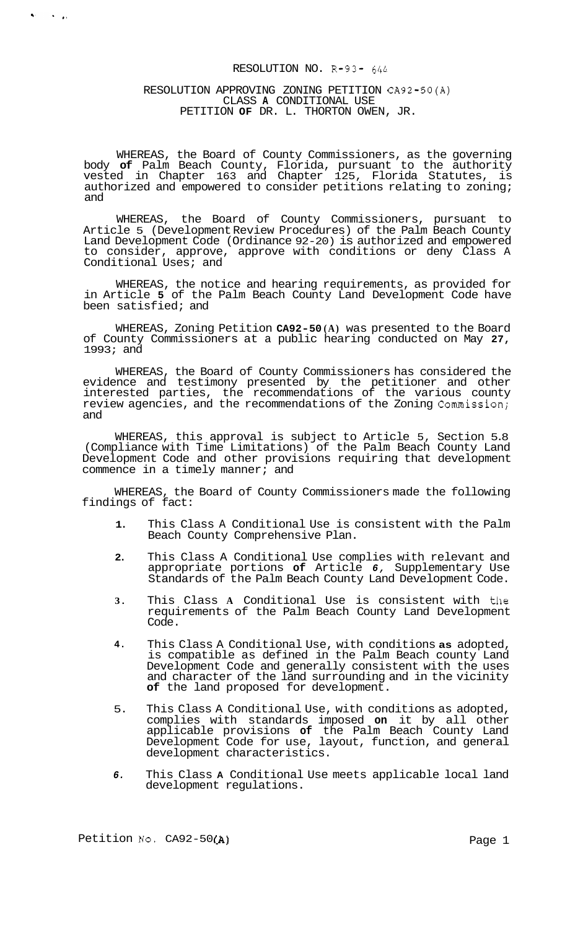## RESOLUTION NO. R-93- *644*

## RESOLUTION APPROVING ZONING PETITION CA92-50(A) CLASS **A** CONDITIONAL USE PETITION **OF** DR. L. THORTON OWEN, JR.

 $\mathbf{v} = \mathbf{v} \cdot \mathbf{v}$ 

WHEREAS, the Board of County Commissioners, as the governing body **of** Palm Beach County, Florida, pursuant to the authority vested in Chapter 163 and Chapter 125, Florida Statutes, is authorized and empowered to consider petitions relating to zoning; and

WHEREAS, the Board of County Commissioners, pursuant to Article 5 (Development Review Procedures) of the Palm Beach County Land Development Code (Ordinance 92-20) is authorized and empowered to consider, approve, approve with conditions or deny Class A Conditional Uses; and

WHEREAS, the notice and hearing requirements, as provided for in Article **5** of the Palm Beach County Land Development Code have been satisfied; and

WHEREAS, Zoning Petition **CA92-50 (A)** was presented to the Board of County Commissioners at a public hearing conducted on May **27,**   $1993;$  and

WHEREAS, the Board of County Commissioners has considered the evidence and testimony presented by the petitioner and other interested parties, the recommendations of the various county review agencies, and the recommendations of the Zoning Commission; and

WHEREAS, this approval is subject to Article 5, Section 5.8 (Compliance with Time Limitations) of the Palm Beach County Land Development Code and other provisions requiring that development commence in a timely manner; and

WHEREAS, the Board of County Commissioners made the following findings of fact:

- **1.**  This Class A Conditional Use is consistent with the Palm Beach County Comprehensive Plan.
- **2.**  This Class A Conditional Use complies with relevant and appropriate portions **of** Article *6,* Supplementary Use Standards of the Palm Beach County Land Development Code.
- **3.**  This Class **A** Conditional Use is consistent with the requirements of the Palm Beach County Land Development Code.
- **4.**  This Class A Conditional Use, with conditions **as** adopted, is compatible as defined in the Palm Beach county Land Development Code and generally consistent with the uses and character of the land surrounding and in the vicinity **of** the land proposed for development.
- 5. This Class A Conditional Use, with conditions as adopted, complies with standards imposed **on** it by all other applicable provisions **of** the Palm Beach County Land Development Code for use, layout, function, and general development characteristics.
- *6.*  This Class **A** Conditional Use meets applicable local land development regulations.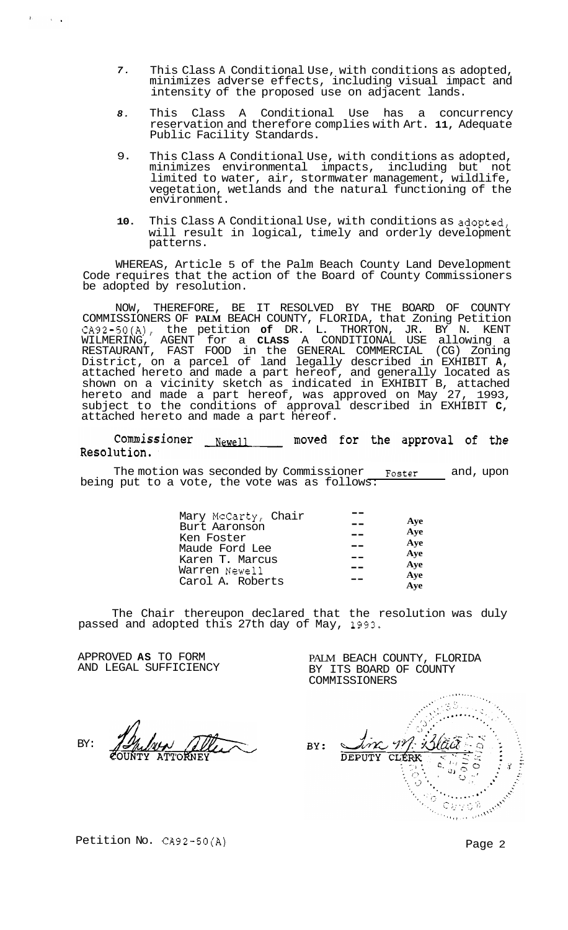- *7.*  This Class A Conditional Use, with conditions as adopted, minimizes adverse effects, including visual impact and intensity of the proposed use on adjacent lands.
- *8.*  This Class A Conditional Use has a concurrency reservation and therefore complies with Art. **11,** Adequate Public Facility Standards.
- 9. This Class A Conditional Use, with conditions as adopted, minimizes environmental impacts, including but not limited to water, air, stormwater management, wildlife, vegetation, wetlands and the natural functioning of the environment.
- **10.**  This Class A Conditional Use, with conditions as adopted, will result in logical, timely and orderly development patterns.

WHEREAS, Article 5 of the Palm Beach County Land Development Code requires that the action of the Board of County Commissioners be adopted by resolution.

NOW, THEREFORE, BE IT RESOLVED BY THE BOARD OF COUNTY COMMISSIONERS OF **PALM** BEACH COUNTY, FLORIDA, that Zoning Petition CA92-50(A), the petition **of** DR. L. THORTON, JR. BY N. KENT WILMERING, AGENT for a **CLASS** A CONDITIONAL USE allowing a RESTAURANT, FAST FOOD in the GENERAL COMMERCIAL (CG) Zoning District, on a parcel of land legally described in EXHIBIT **A,**  attached hereto and made a part hereof, and generally located as shown on a vicinity sketch as indicated in EXHIBIT B, attached hereto and made a part hereof, was approved on May 27, 1993, subject to the conditions of approval described in EXHIBIT **C,**  attached hereto and made a part hereof.

Commissioner Newell moved for the approval of the Resolution.

The motion was seconded by Commissioner **Foster** and, upon being put to a vote, the vote was as follows:

The Chair thereupon declared that the resolution was duly passed and adopted this 27th day of May, 1993.

APPROVED **AS** TO FORM AND LEGAL SUFFICIENCY

 $E = \sqrt{2\pi}$ 

BY:

COMMISSIONERS  $(38)$  $M$  $\frac{1}{\alpha}$ BY: **DEPUTY CLÉRK**  $\frac{1}{2}$  $\overline{1}$  $\ddot{\circ}$  $\mathbf{c}$  $\boldsymbol{\gamma}$ Petition No. CA92-50(A) Page 2 Ù)  $\cdot$ 

PALM BEACH COUNTY, FLORIDA BY ITS BOARD OF COUNTY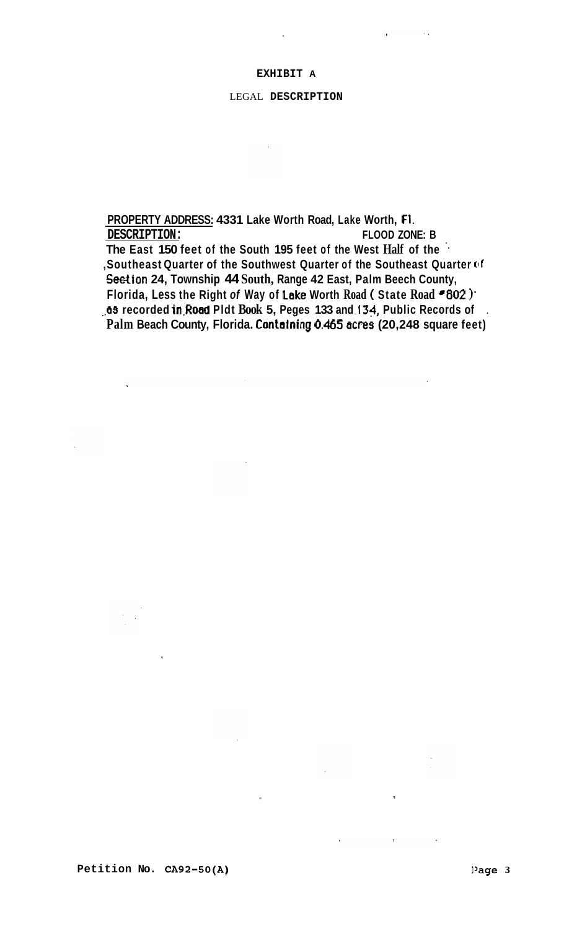# **EXHIBIT A**

# LEGAL **DESCRIPTION**

 $\sim 10$ 

**PROPERTY ADDRESS: 4331 Lake Worth Road, Lake Worth, F1. DESCRIPTION: FLOOD ZONE: B The East 150 feet of the South 195 feet of the West Half of the** '. **,Southeast Quarter of the Southwest Quarter of the Southeast Quarter of Wion 24, Township 44 South, Range 42 East, Palm Beech County, Florida, Less the Right** *of* **Way of Lske Worth Road** ( **State Road \*802** )\* **,,e3 recorded in.Roed Pldt Book 5, Peges 133 and ,134, Public Records of** . **Palm Beach County, Florida. Containing 0.465 acres (20,248 square feet)**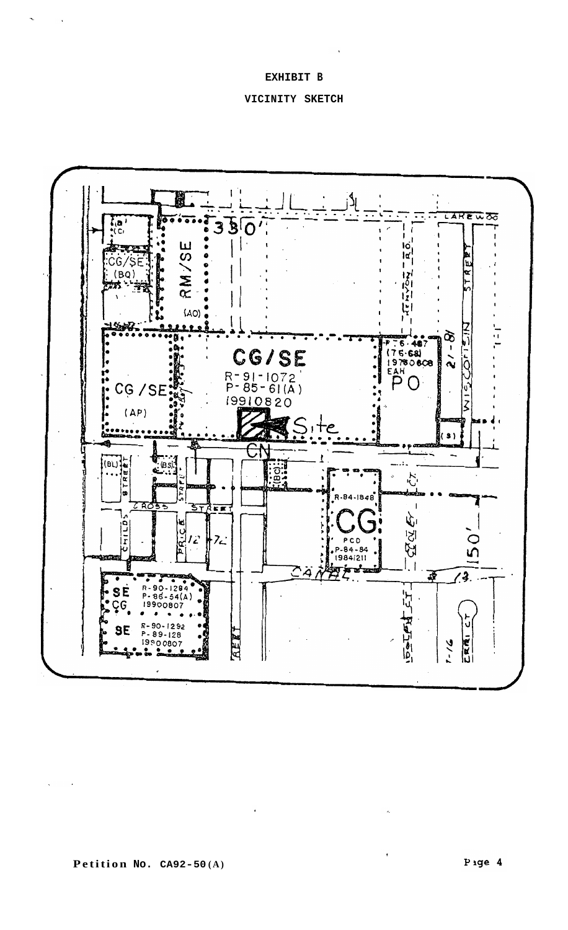## **EXHIBIT B**





 $\ddot{\phantom{1}}$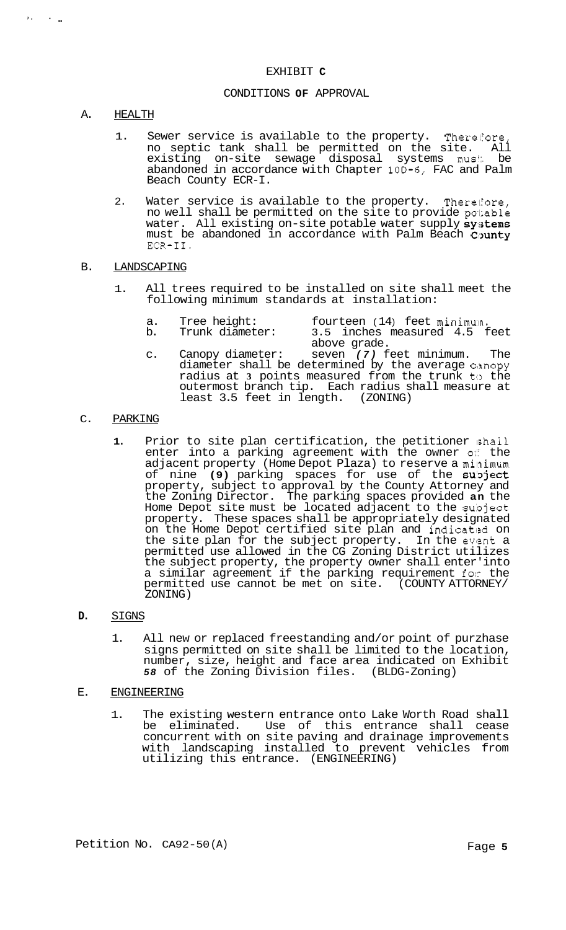## EXHIBIT **C**

#### CONDITIONS **OF** APPROVAL

### A. HEALTH

*I.* . ..

- 1. Sewer service is available to the property. Thereliore, no septic tank shall be permitted on the site. All existing on-site sewage disposal systems must be abandoned in accordance with Chapter 10D-6, FAC and Palm Beach County ECR-I.
- 2. Water service is available to the property. Therefore, no well shall be permitted on the site to provide po1:able water. All existing on-site potable water supply systems must be abandoned in accordance with Palm Beach County ECR-11.

## B. LANDSCAPING

- 1. All trees required to be installed on site shall meet the following minimum standards at installation:
	- a. Tree height: fourteen (14) feet minimum.<br>b. Trunk diameter: 3.5 inches measured 4.5 f 3.5 inches measured 4.5 feet
	- c. Canopy diameter: seven *(7)* feet minimum. The diameter shall be determined by the average canopy radius at 3 points measured from the trunk to the outermost branch tip. Each radius shall measure at least 3.5 feet in length. (ZONING) above grade.

# C. PARKING

**1.** Prior to site plan certification, the petitioner ishall enter into a parking agreement with the owner  $\circ$ <sup>e</sup> the adjacent property (Home Depot Plaza) to reserve a minimum of nine (9) parking spaces for use of the subject property, subject to approval by the County Attorney and the Zoning Director. The parking spaces provided **an** the Home Depot site must be located adjacent to the subject property. These spaces shall be appropriately designated on the Home Depot certified site plan and indicated on the site plan for the subject property. In the event a permitted use allowed in the CG Zoning District utilizes the subject property, the property owner shall enter' into a similar agreement if the parking requirement for the permitted use cannot be met on site. (COUNTY ATTORNEY/ ZONING)

#### **D.** SIGNS

1. All new or replaced freestanding and/or point of purzhase signs permitted on site shall be limited to the location, number, size, height and face area indicated on Exhibit *58* of the Zoning Division files. (BLDG-Zoning)

#### E. ENGINEERING

1. The existing western entrance onto Lake Worth Road shall be eliminated. Use of this entrance shall cease concurrent with on site paving and drainage improvements with landscaping installed to prevent vehicles from utilizing this entrance. (ENGINEERING)